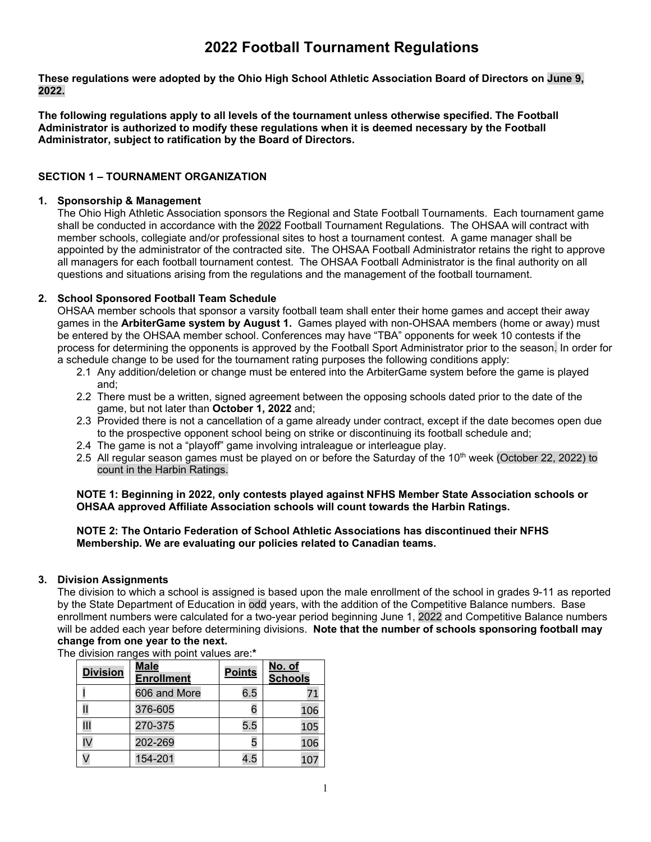# **2022 Football Tournament Regulations**

**These regulations were adopted by the Ohio High School Athletic Association Board of Directors on June 9, 2022.** 

**The following regulations apply to all levels of the tournament unless otherwise specified. The Football Administrator is authorized to modify these regulations when it is deemed necessary by the Football Administrator, subject to ratification by the Board of Directors.** 

# **SECTION 1 – TOURNAMENT ORGANIZATION**

### **1. Sponsorship & Management**

The Ohio High Athletic Association sponsors the Regional and State Football Tournaments. Each tournament game shall be conducted in accordance with the 2022 Football Tournament Regulations. The OHSAA will contract with member schools, collegiate and/or professional sites to host a tournament contest. A game manager shall be appointed by the administrator of the contracted site. The OHSAA Football Administrator retains the right to approve all managers for each football tournament contest. The OHSAA Football Administrator is the final authority on all questions and situations arising from the regulations and the management of the football tournament.

# **2. School Sponsored Football Team Schedule**

OHSAA member schools that sponsor a varsity football team shall enter their home games and accept their away games in the **ArbiterGame system by August 1.** Games played with non-OHSAA members (home or away) must be entered by the OHSAA member school. Conferences may have "TBA" opponents for week 10 contests if the process for determining the opponents is approved by the Football Sport Administrator prior to the season. In order for a schedule change to be used for the tournament rating purposes the following conditions apply:

- 2.1 Any addition/deletion or change must be entered into the ArbiterGame system before the game is played and;
- 2.2 There must be a written, signed agreement between the opposing schools dated prior to the date of the game, but not later than **October 1, 2022** and;
- 2.3 Provided there is not a cancellation of a game already under contract, except if the date becomes open due to the prospective opponent school being on strike or discontinuing its football schedule and;
- 2.4 The game is not a "playoff" game involving intraleague or interleague play.
- 2.5 All regular season games must be played on or before the Saturday of the 10<sup>th</sup> week (October 22, 2022) to count in the Harbin Ratings.

#### **NOTE 1: Beginning in 2022, only contests played against NFHS Member State Association schools or OHSAA approved Affiliate Association schools will count towards the Harbin Ratings.**

### **NOTE 2: The Ontario Federation of School Athletic Associations has discontinued their NFHS Membership. We are evaluating our policies related to Canadian teams.**

# **3. Division Assignments**

The division to which a school is assigned is based upon the male enrollment of the school in grades 9-11 as reported by the State Department of Education in odd years, with the addition of the Competitive Balance numbers. Base enrollment numbers were calculated for a two-year period beginning June 1, 2022 and Competitive Balance numbers will be added each year before determining divisions. **Note that the number of schools sponsoring football may change from one year to the next.** 

The division ranges with point values are:**\***

| <b>Division</b> | <b>Male</b><br><b>Enrollment</b> | <b>Points</b> | <u>No. of</u><br><b>Schools</b> |
|-----------------|----------------------------------|---------------|---------------------------------|
|                 | 606 and More                     | 6.5           | 71                              |
|                 | 376-605                          | 6             | 106                             |
| Ш               | 270-375                          | 5.5           | 105                             |
| IV              | 202-269                          |               | 106                             |
|                 | 154-201                          | 4.5           | 10                              |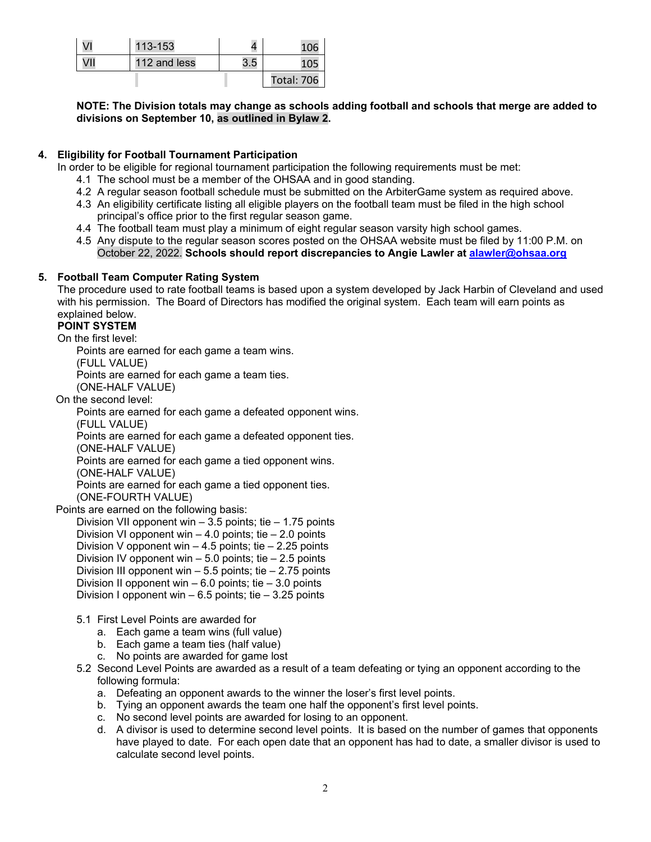| VI  | 113-153      |     |                   |
|-----|--------------|-----|-------------------|
| VII | 112 and less | 3.5 |                   |
|     |              |     | <b>Total: 706</b> |

**NOTE: The Division totals may change as schools adding football and schools that merge are added to divisions on September 10, as outlined in Bylaw 2.** 

# **4. Eligibility for Football Tournament Participation**

In order to be eligible for regional tournament participation the following requirements must be met:

- 4.1 The school must be a member of the OHSAA and in good standing.
- 4.2 A regular season football schedule must be submitted on the ArbiterGame system as required above.
- 4.3 An eligibility certificate listing all eligible players on the football team must be filed in the high school principal's office prior to the first regular season game.
- 4.4 The football team must play a minimum of eight regular season varsity high school games.
- 4.5 Any dispute to the regular season scores posted on the OHSAA website must be filed by 11:00 P.M. on October 22, 2022. **Schools should report discrepancies to Angie Lawler at alawler@ohsaa.org**

### **5. Football Team Computer Rating System**

The procedure used to rate football teams is based upon a system developed by Jack Harbin of Cleveland and used with his permission. The Board of Directors has modified the original system. Each team will earn points as explained below.

### **POINT SYSTEM**

On the first level:

Points are earned for each game a team wins.

(FULL VALUE)

Points are earned for each game a team ties.

(ONE-HALF VALUE)

On the second level:

Points are earned for each game a defeated opponent wins.

(FULL VALUE)

Points are earned for each game a defeated opponent ties.

(ONE-HALF VALUE)

Points are earned for each game a tied opponent wins.

(ONE-HALF VALUE)

 Points are earned for each game a tied opponent ties. (ONE-FOURTH VALUE)

# Points are earned on the following basis:

Division VII opponent win  $-3.5$  points; tie  $-1.75$  points Division VI opponent win  $-4.0$  points; tie  $-2.0$  points Division V opponent win  $-4.5$  points; tie  $-2.25$  points Division IV opponent win – 5.0 points; tie – 2.5 points Division III opponent win  $-5.5$  points; tie  $-2.75$  points Division II opponent win  $-6.0$  points; tie  $-3.0$  points Division I opponent win  $-6.5$  points; tie  $-3.25$  points

- 5.1 First Level Points are awarded for
	- a. Each game a team wins (full value)
	- b. Each game a team ties (half value)
	- c. No points are awarded for game lost
- 5.2 Second Level Points are awarded as a result of a team defeating or tying an opponent according to the following formula:
	- a. Defeating an opponent awards to the winner the loser's first level points.
	- b. Tying an opponent awards the team one half the opponent's first level points.
	- c. No second level points are awarded for losing to an opponent.
	- d. A divisor is used to determine second level points. It is based on the number of games that opponents have played to date. For each open date that an opponent has had to date, a smaller divisor is used to calculate second level points.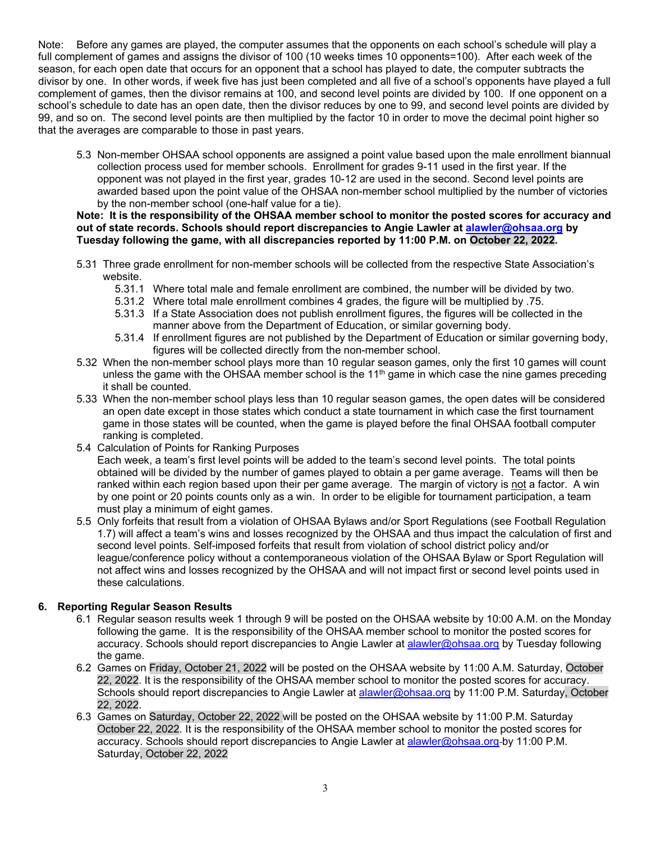Note: Before any games are played, the computer assumes that the opponents on each school's schedule will play a full complement of games and assigns the divisor of 100 (10 weeks times 10 opponents=100). After each week of the season, for each open date that occurs for an opponent that a school has played to date, the computer subtracts the divisor by one. In other words, if week five has just been completed and all five of a school's opponents have played a full complement of games, then the divisor remains at 100, and second level points are divided by 100. If one opponent on a school's schedule to date has an open date, then the divisor reduces by one to 99, and second level points are divided by 99, and so on. The second level points are then multiplied by the factor 10 in order to move the decimal point higher so that the averages are comparable to those in past years.

5.3 Non-member OHSAA school opponents are assigned a point value based upon the male enrollment biannual collection process used for member schools. Enrollment for grades 9-11 used in the first year. If the opponent was not played in the first year, grades 10-12 are used in the second. Second level points are awarded based upon the point value of the OHSAA non-member school multiplied by the number of victories by the non-member school (one-half value for a tie).

#### **Note: It is the responsibility of the OHSAA member school to monitor the posted scores for accuracy and out of state records. Schools should report discrepancies to Angie Lawler at alawler@ohsaa.org by Tuesday following the game, with all discrepancies reported by 11:00 P.M. on October 22, 2022.**

- 5.31 Three grade enrollment for non-member schools will be collected from the respective State Association's website.
	- 5.31.1 Where total male and female enrollment are combined, the number will be divided by two.
	- 5.31.2 Where total male enrollment combines 4 grades, the figure will be multiplied by .75.
	- 5.31.3 If a State Association does not publish enrollment figures, the figures will be collected in the manner above from the Department of Education, or similar governing body.
	- 5.31.4 If enrollment figures are not published by the Department of Education or similar governing body, figures will be collected directly from the non-member school.
- 5.32 When the non-member school plays more than 10 regular season games, only the first 10 games will count unless the game with the OHSAA member school is the 11<sup>th</sup> game in which case the nine games preceding it shall be counted.
- 5.33 When the non-member school plays less than 10 regular season games, the open dates will be considered an open date except in those states which conduct a state tournament in which case the first tournament game in those states will be counted, when the game is played before the final OHSAA football computer ranking is completed.
- 5.4 Calculation of Points for Ranking Purposes

Each week, a team's first level points will be added to the team's second level points. The total points obtained will be divided by the number of games played to obtain a per game average. Teams will then be ranked within each region based upon their per game average. The margin of victory is not a factor. A win by one point or 20 points counts only as a win. In order to be eligible for tournament participation, a team must play a minimum of eight games.

5.5 Only forfeits that result from a violation of OHSAA Bylaws and/or Sport Regulations (see Football Regulation 1.7) will affect a team's wins and losses recognized by the OHSAA and thus impact the calculation of first and second level points. Self-imposed forfeits that result from violation of school district policy and/or league/conference policy without a contemporaneous violation of the OHSAA Bylaw or Sport Regulation will not affect wins and losses recognized by the OHSAA and will not impact first or second level points used in these calculations.

# **6. Reporting Regular Season Results**

- 6.1 Regular season results week 1 through 9 will be posted on the OHSAA website by 10:00 A.M. on the Monday following the game. It is the responsibility of the OHSAA member school to monitor the posted scores for accuracy. Schools should report discrepancies to Angie Lawler at alawler@ohsaa.org by Tuesday following the game.
- 6.2 Games on Friday, October 21, 2022 will be posted on the OHSAA website by 11:00 A.M. Saturday, October 22, 2022. It is the responsibility of the OHSAA member school to monitor the posted scores for accuracy. Schools should report discrepancies to Angie Lawler at alawler@ohsaa.org by 11:00 P.M. Saturday, October 22, 2022.
- 6.3 Games on Saturday, October 22, 2022 will be posted on the OHSAA website by 11:00 P.M. Saturday October 22, 2022. It is the responsibility of the OHSAA member school to monitor the posted scores for accuracy. Schools should report discrepancies to Angie Lawler at alawler@ohsaa.org-by 11:00 P.M. Saturday, October 22, 2022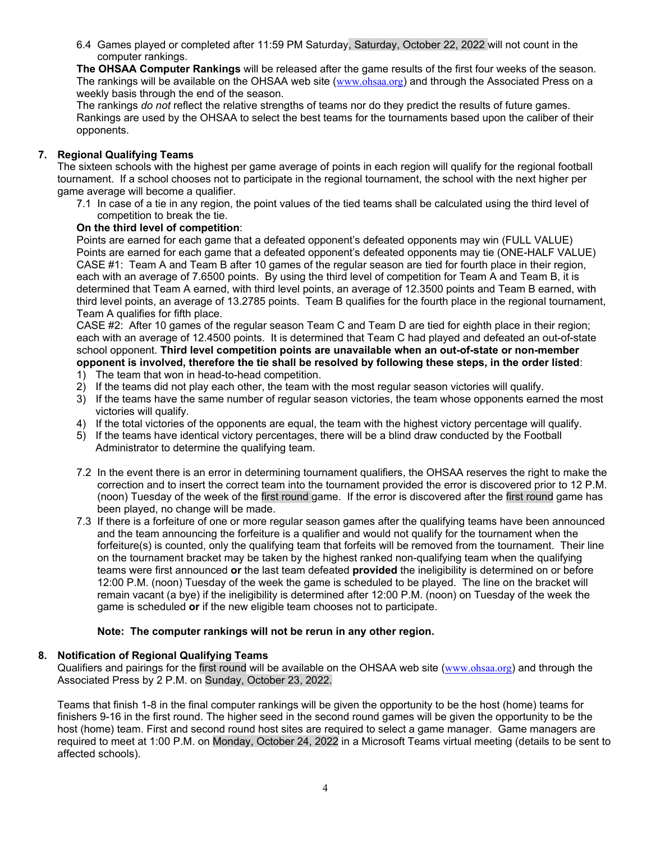6.4 Games played or completed after 11:59 PM Saturday, Saturday, October 22, 2022 will not count in the computer rankings.

**The OHSAA Computer Rankings** will be released after the game results of the first four weeks of the season. The rankings will be available on the OHSAA web site (www.ohsaa.org) and through the Associated Press on a weekly basis through the end of the season.

The rankings *do not* reflect the relative strengths of teams nor do they predict the results of future games. Rankings are used by the OHSAA to select the best teams for the tournaments based upon the caliber of their opponents.

# **7. Regional Qualifying Teams**

The sixteen schools with the highest per game average of points in each region will qualify for the regional football tournament. If a school chooses not to participate in the regional tournament, the school with the next higher per game average will become a qualifier.

7.1 In case of a tie in any region, the point values of the tied teams shall be calculated using the third level of competition to break the tie.

# **On the third level of competition**:

Points are earned for each game that a defeated opponent's defeated opponents may win (FULL VALUE) Points are earned for each game that a defeated opponent's defeated opponents may tie (ONE-HALF VALUE) CASE #1: Team A and Team B after 10 games of the regular season are tied for fourth place in their region, each with an average of 7.6500 points. By using the third level of competition for Team A and Team B, it is determined that Team A earned, with third level points, an average of 12.3500 points and Team B earned, with third level points, an average of 13.2785 points. Team B qualifies for the fourth place in the regional tournament, Team A qualifies for fifth place.

CASE #2: After 10 games of the regular season Team C and Team D are tied for eighth place in their region; each with an average of 12.4500 points. It is determined that Team C had played and defeated an out-of-state school opponent. **Third level competition points are unavailable when an out-of-state or non-member opponent is involved, therefore the tie shall be resolved by following these steps, in the order listed**:

- 1) The team that won in head-to-head competition.
- 2) If the teams did not play each other, the team with the most regular season victories will qualify.
- 3) If the teams have the same number of regular season victories, the team whose opponents earned the most victories will qualify.
- 4) If the total victories of the opponents are equal, the team with the highest victory percentage will qualify.
- 5) If the teams have identical victory percentages, there will be a blind draw conducted by the Football Administrator to determine the qualifying team.
- 7.2 In the event there is an error in determining tournament qualifiers, the OHSAA reserves the right to make the correction and to insert the correct team into the tournament provided the error is discovered prior to 12 P.M. (noon) Tuesday of the week of the first round game. If the error is discovered after the first round game has been played, no change will be made.
- 7.3 If there is a forfeiture of one or more regular season games after the qualifying teams have been announced and the team announcing the forfeiture is a qualifier and would not qualify for the tournament when the forfeiture(s) is counted, only the qualifying team that forfeits will be removed from the tournament. Their line on the tournament bracket may be taken by the highest ranked non-qualifying team when the qualifying teams were first announced **or** the last team defeated **provided** the ineligibility is determined on or before 12:00 P.M. (noon) Tuesday of the week the game is scheduled to be played. The line on the bracket will remain vacant (a bye) if the ineligibility is determined after 12:00 P.M. (noon) on Tuesday of the week the game is scheduled **or** if the new eligible team chooses not to participate.

# **Note: The computer rankings will not be rerun in any other region.**

# **8. Notification of Regional Qualifying Teams**

Qualifiers and pairings for the first round will be available on the OHSAA web site (www.ohsaa.org) and through the Associated Press by 2 P.M. on Sunday, October 23, 2022.

Teams that finish 1-8 in the final computer rankings will be given the opportunity to be the host (home) teams for finishers 9-16 in the first round. The higher seed in the second round games will be given the opportunity to be the host (home) team. First and second round host sites are required to select a game manager. Game managers are required to meet at 1:00 P.M. on Monday, October 24, 2022 in a Microsoft Teams virtual meeting (details to be sent to affected schools).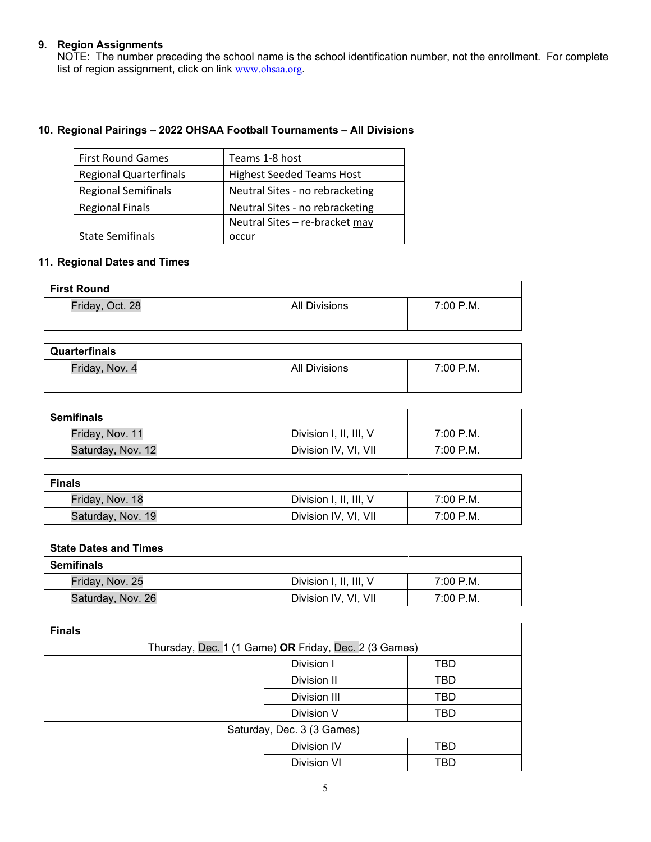### **9. Region Assignments**

NOTE: The number preceding the school name is the school identification number, not the enrollment. For complete list of region assignment, click on link www.ohsaa.org.

# **10. Regional Pairings – 2022 OHSAA Football Tournaments – All Divisions**

| <b>First Round Games</b>      | Teams 1-8 host                   |
|-------------------------------|----------------------------------|
| <b>Regional Quarterfinals</b> | <b>Highest Seeded Teams Host</b> |
| <b>Regional Semifinals</b>    | Neutral Sites - no rebracketing  |
| <b>Regional Finals</b>        | Neutral Sites - no rebracketing  |
|                               | Neutral Sites - re-bracket may   |
| <b>State Semifinals</b>       | occur                            |

### **11. Regional Dates and Times**

| <b>First Round</b> |               |           |
|--------------------|---------------|-----------|
| Friday, Oct. 28    | All Divisions | 7:00 P.M. |
|                    |               |           |

| Quarterfinals  |               |           |
|----------------|---------------|-----------|
| Friday, Nov. 4 | All Divisions | 7:00 P.M. |
|                |               |           |

| <b>Semifinals</b> |                        |           |
|-------------------|------------------------|-----------|
| Friday, Nov. 11   | Division I, II, III, V | 7:00 P.M. |
| Saturday, Nov. 12 | Division IV, VI, VII   | 7:00 P.M. |

| <b>Finals</b>     |                        |           |
|-------------------|------------------------|-----------|
| Friday, Nov. 18   | Division I, II, III, V | 7:00 P.M. |
| Saturday, Nov. 19 | Division IV, VI, VII   | 7:00 P.M. |

#### **State Dates and Times**

| <b>Semifinals</b> |                        |           |
|-------------------|------------------------|-----------|
| Friday, Nov. 25   | Division I, II, III, V | 7:00 P.M. |
| Saturday, Nov. 26 | Division IV, VI, VII   | 7:00 P.M. |

| <b>Finals</b>              |                                                       |     |
|----------------------------|-------------------------------------------------------|-----|
|                            | Thursday, Dec. 1 (1 Game) OR Friday, Dec. 2 (3 Games) |     |
|                            | Division I                                            | TBD |
|                            | Division II                                           | TBD |
|                            | Division III                                          | TBD |
|                            | Division V                                            | TBD |
| Saturday, Dec. 3 (3 Games) |                                                       |     |
|                            | Division IV                                           | TBD |
|                            | <b>Division VI</b>                                    | TBD |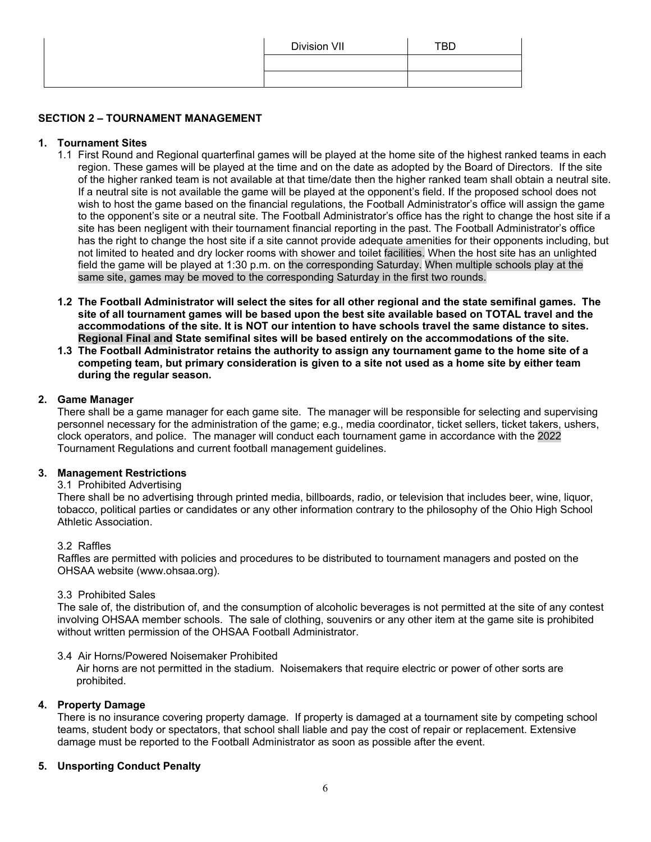| Division VII | <b>TBD</b> |
|--------------|------------|
|              |            |
|              |            |

# **SECTION 2 – TOURNAMENT MANAGEMENT**

# **1. Tournament Sites**

- 1.1 First Round and Regional quarterfinal games will be played at the home site of the highest ranked teams in each region. These games will be played at the time and on the date as adopted by the Board of Directors. If the site of the higher ranked team is not available at that time/date then the higher ranked team shall obtain a neutral site. If a neutral site is not available the game will be played at the opponent's field. If the proposed school does not wish to host the game based on the financial regulations, the Football Administrator's office will assign the game to the opponent's site or a neutral site. The Football Administrator's office has the right to change the host site if a site has been negligent with their tournament financial reporting in the past. The Football Administrator's office has the right to change the host site if a site cannot provide adequate amenities for their opponents including, but not limited to heated and dry locker rooms with shower and toilet facilities. When the host site has an unlighted field the game will be played at 1:30 p.m. on the corresponding Saturday. When multiple schools play at the same site, games may be moved to the corresponding Saturday in the first two rounds.
- **1.2 The Football Administrator will select the sites for all other regional and the state semifinal games. The site of all tournament games will be based upon the best site available based on TOTAL travel and the accommodations of the site. It is NOT our intention to have schools travel the same distance to sites. Regional Final and State semifinal sites will be based entirely on the accommodations of the site.**
- **1.3 The Football Administrator retains the authority to assign any tournament game to the home site of a competing team, but primary consideration is given to a site not used as a home site by either team during the regular season.**

# **2. Game Manager**

There shall be a game manager for each game site. The manager will be responsible for selecting and supervising personnel necessary for the administration of the game; e.g., media coordinator, ticket sellers, ticket takers, ushers, clock operators, and police. The manager will conduct each tournament game in accordance with the 2022 Tournament Regulations and current football management guidelines.

# **3. Management Restrictions**

#### 3.1 Prohibited Advertising

There shall be no advertising through printed media, billboards, radio, or television that includes beer, wine, liquor, tobacco, political parties or candidates or any other information contrary to the philosophy of the Ohio High School Athletic Association.

#### 3.2 Raffles

Raffles are permitted with policies and procedures to be distributed to tournament managers and posted on the OHSAA website (www.ohsaa.org).

#### 3.3 Prohibited Sales

The sale of, the distribution of, and the consumption of alcoholic beverages is not permitted at the site of any contest involving OHSAA member schools. The sale of clothing, souvenirs or any other item at the game site is prohibited without written permission of the OHSAA Football Administrator.

#### 3.4 Air Horns/Powered Noisemaker Prohibited

Air horns are not permitted in the stadium. Noisemakers that require electric or power of other sorts are prohibited.

# **4. Property Damage**

There is no insurance covering property damage. If property is damaged at a tournament site by competing school teams, student body or spectators, that school shall liable and pay the cost of repair or replacement. Extensive damage must be reported to the Football Administrator as soon as possible after the event.

# **5. Unsporting Conduct Penalty**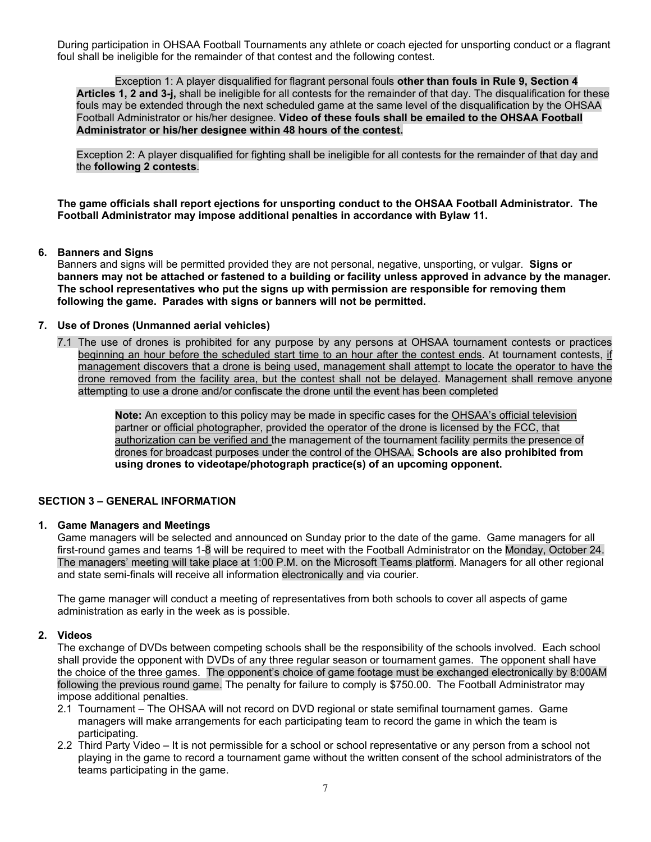During participation in OHSAA Football Tournaments any athlete or coach ejected for unsporting conduct or a flagrant foul shall be ineligible for the remainder of that contest and the following contest.

 Exception 1: A player disqualified for flagrant personal fouls **other than fouls in Rule 9, Section 4 Articles 1, 2 and 3-j,** shall be ineligible for all contests for the remainder of that day. The disqualification for these fouls may be extended through the next scheduled game at the same level of the disqualification by the OHSAA Football Administrator or his/her designee. **Video of these fouls shall be emailed to the OHSAA Football Administrator or his/her designee within 48 hours of the contest.** 

Exception 2: A player disqualified for fighting shall be ineligible for all contests for the remainder of that day and the **following 2 contests**.

**The game officials shall report ejections for unsporting conduct to the OHSAA Football Administrator. The Football Administrator may impose additional penalties in accordance with Bylaw 11.** 

### **6. Banners and Signs**

Banners and signs will be permitted provided they are not personal, negative, unsporting, or vulgar. **Signs or banners may not be attached or fastened to a building or facility unless approved in advance by the manager. The school representatives who put the signs up with permission are responsible for removing them following the game. Parades with signs or banners will not be permitted.** 

#### **7. Use of Drones (Unmanned aerial vehicles)**

7.1 The use of drones is prohibited for any purpose by any persons at OHSAA tournament contests or practices beginning an hour before the scheduled start time to an hour after the contest ends. At tournament contests, if management discovers that a drone is being used, management shall attempt to locate the operator to have the drone removed from the facility area, but the contest shall not be delayed. Management shall remove anyone attempting to use a drone and/or confiscate the drone until the event has been completed

> **Note:** An exception to this policy may be made in specific cases for the OHSAA's official television partner or official photographer, provided the operator of the drone is licensed by the FCC, that authorization can be verified and the management of the tournament facility permits the presence of drones for broadcast purposes under the control of the OHSAA. **Schools are also prohibited from using drones to videotape/photograph practice(s) of an upcoming opponent.**

# **SECTION 3 – GENERAL INFORMATION**

#### **1. Game Managers and Meetings**

Game managers will be selected and announced on Sunday prior to the date of the game. Game managers for all first-round games and teams 1-8 will be required to meet with the Football Administrator on the Monday, October 24. The managers' meeting will take place at 1:00 P.M. on the Microsoft Teams platform. Managers for all other regional and state semi-finals will receive all information electronically and via courier.

The game manager will conduct a meeting of representatives from both schools to cover all aspects of game administration as early in the week as is possible.

#### **2. Videos**

The exchange of DVDs between competing schools shall be the responsibility of the schools involved. Each school shall provide the opponent with DVDs of any three regular season or tournament games. The opponent shall have the choice of the three games. The opponent's choice of game footage must be exchanged electronically by 8:00AM following the previous round game. The penalty for failure to comply is \$750.00. The Football Administrator may impose additional penalties.

- 2.1 Tournament The OHSAA will not record on DVD regional or state semifinal tournament games. Game managers will make arrangements for each participating team to record the game in which the team is participating.
- 2.2 Third Party Video It is not permissible for a school or school representative or any person from a school not playing in the game to record a tournament game without the written consent of the school administrators of the teams participating in the game.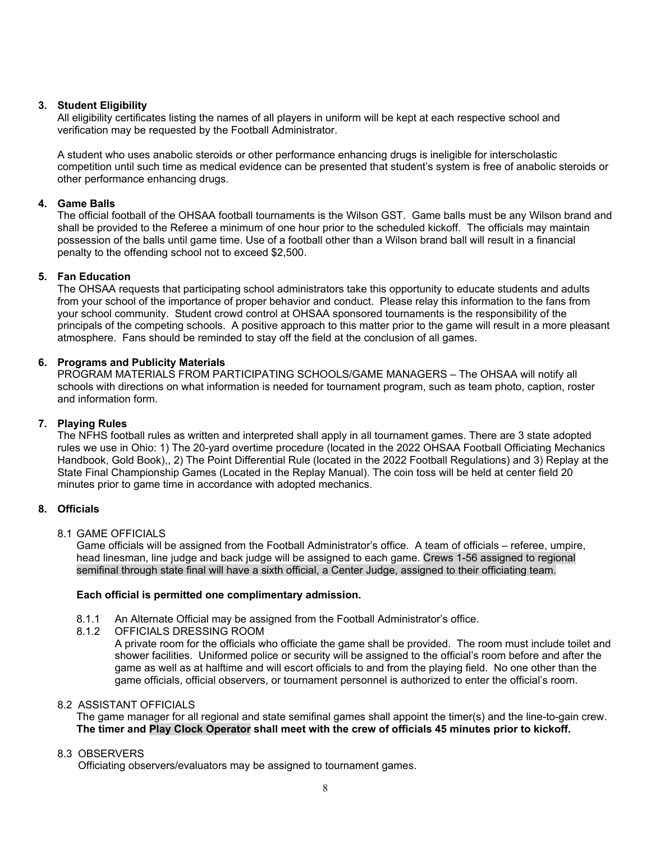# **3. Student Eligibility**

All eligibility certificates listing the names of all players in uniform will be kept at each respective school and verification may be requested by the Football Administrator.

A student who uses anabolic steroids or other performance enhancing drugs is ineligible for interscholastic competition until such time as medical evidence can be presented that student's system is free of anabolic steroids or other performance enhancing drugs.

### **4. Game Balls**

The official football of the OHSAA football tournaments is the Wilson GST. Game balls must be any Wilson brand and shall be provided to the Referee a minimum of one hour prior to the scheduled kickoff. The officials may maintain possession of the balls until game time. Use of a football other than a Wilson brand ball will result in a financial penalty to the offending school not to exceed \$2,500.

### **5. Fan Education**

The OHSAA requests that participating school administrators take this opportunity to educate students and adults from your school of the importance of proper behavior and conduct. Please relay this information to the fans from your school community. Student crowd control at OHSAA sponsored tournaments is the responsibility of the principals of the competing schools. A positive approach to this matter prior to the game will result in a more pleasant atmosphere. Fans should be reminded to stay off the field at the conclusion of all games.

# **6. Programs and Publicity Materials**

PROGRAM MATERIALS FROM PARTICIPATING SCHOOLS/GAME MANAGERS – The OHSAA will notify all schools with directions on what information is needed for tournament program, such as team photo, caption, roster and information form.

### **7. Playing Rules**

The NFHS football rules as written and interpreted shall apply in all tournament games. There are 3 state adopted rules we use in Ohio: 1) The 20-yard overtime procedure (located in the 2022 OHSAA Football Officiating Mechanics Handbook, Gold Book),, 2) The Point Differential Rule (located in the 2022 Football Regulations) and 3) Replay at the State Final Championship Games (Located in the Replay Manual). The coin toss will be held at center field 20 minutes prior to game time in accordance with adopted mechanics.

# **8. Officials**

8.1 GAME OFFICIALS

Game officials will be assigned from the Football Administrator's office. A team of officials – referee, umpire, head linesman, line judge and back judge will be assigned to each game. Crews 1-56 assigned to regional semifinal through state final will have a sixth official, a Center Judge, assigned to their officiating team.

#### **Each official is permitted one complimentary admission.**

- 8.1.1 An Alternate Official may be assigned from the Football Administrator's office.
- 8.1.2 OFFICIALS DRESSING ROOM

A private room for the officials who officiate the game shall be provided. The room must include toilet and shower facilities. Uniformed police or security will be assigned to the official's room before and after the game as well as at halftime and will escort officials to and from the playing field. No one other than the game officials, official observers, or tournament personnel is authorized to enter the official's room.

### 8.2 ASSISTANT OFFICIALS

The game manager for all regional and state semifinal games shall appoint the timer(s) and the line-to-gain crew. **The timer and Play Clock Operator shall meet with the crew of officials 45 minutes prior to kickoff.** 

#### 8.3 OBSERVERS

Officiating observers/evaluators may be assigned to tournament games.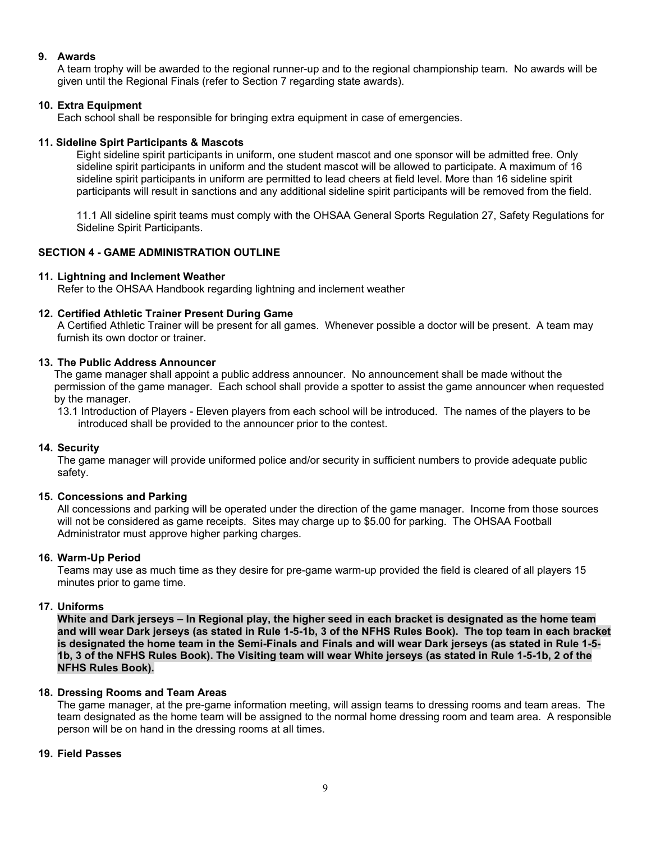### **9. Awards**

A team trophy will be awarded to the regional runner-up and to the regional championship team. No awards will be given until the Regional Finals (refer to Section 7 regarding state awards).

# **10. Extra Equipment**

Each school shall be responsible for bringing extra equipment in case of emergencies.

### **11. Sideline Spirt Participants & Mascots**

Eight sideline spirit participants in uniform, one student mascot and one sponsor will be admitted free. Only sideline spirit participants in uniform and the student mascot will be allowed to participate. A maximum of 16 sideline spirit participants in uniform are permitted to lead cheers at field level. More than 16 sideline spirit participants will result in sanctions and any additional sideline spirit participants will be removed from the field.

11.1 All sideline spirit teams must comply with the OHSAA General Sports Regulation 27, Safety Regulations for Sideline Spirit Participants.

# **SECTION 4 - GAME ADMINISTRATION OUTLINE**

### **11. Lightning and Inclement Weather**

Refer to the OHSAA Handbook regarding lightning and inclement weather

### **12. Certified Athletic Trainer Present During Game**

A Certified Athletic Trainer will be present for all games. Whenever possible a doctor will be present. A team may furnish its own doctor or trainer.

### **13. The Public Address Announcer**

The game manager shall appoint a public address announcer. No announcement shall be made without the permission of the game manager. Each school shall provide a spotter to assist the game announcer when requested by the manager.

13.1Introduction of Players - Eleven players from each school will be introduced. The names of the players to be introduced shall be provided to the announcer prior to the contest.

#### **14. Security**

The game manager will provide uniformed police and/or security in sufficient numbers to provide adequate public safety.

#### **15. Concessions and Parking**

All concessions and parking will be operated under the direction of the game manager. Income from those sources will not be considered as game receipts. Sites may charge up to \$5.00 for parking. The OHSAA Football Administrator must approve higher parking charges.

### **16. Warm-Up Period**

Teams may use as much time as they desire for pre-game warm-up provided the field is cleared of all players 15 minutes prior to game time.

#### **17. Uniforms**

**White and Dark jerseys – In Regional play, the higher seed in each bracket is designated as the home team and will wear Dark jerseys (as stated in Rule 1-5-1b, 3 of the NFHS Rules Book). The top team in each bracket is designated the home team in the Semi-Finals and Finals and will wear Dark jerseys (as stated in Rule 1-5- 1b, 3 of the NFHS Rules Book). The Visiting team will wear White jerseys (as stated in Rule 1-5-1b, 2 of the NFHS Rules Book).** 

# **18. Dressing Rooms and Team Areas**

The game manager, at the pre-game information meeting, will assign teams to dressing rooms and team areas. The team designated as the home team will be assigned to the normal home dressing room and team area. A responsible person will be on hand in the dressing rooms at all times.

### **19. Field Passes**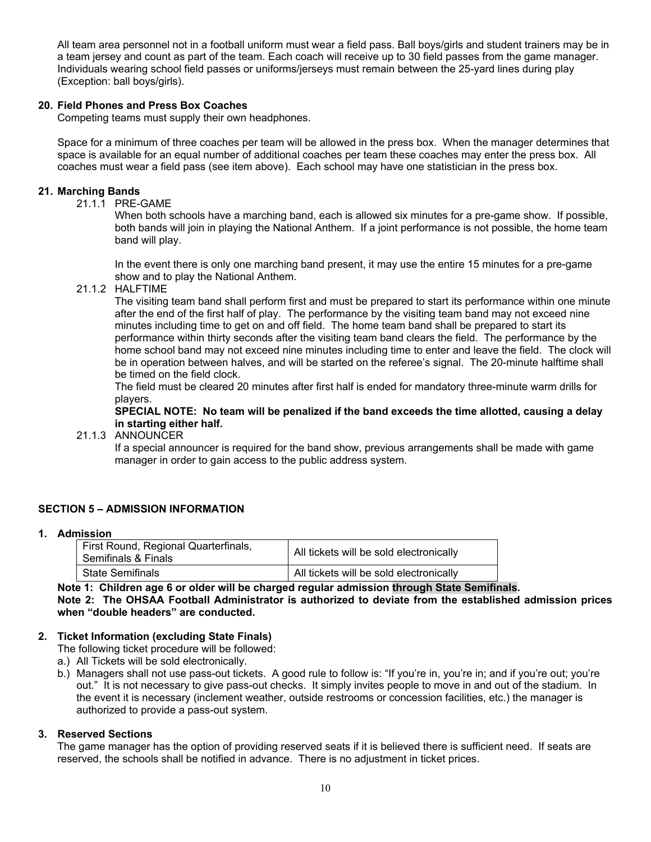All team area personnel not in a football uniform must wear a field pass. Ball boys/girls and student trainers may be in a team jersey and count as part of the team. Each coach will receive up to 30 field passes from the game manager. Individuals wearing school field passes or uniforms/jerseys must remain between the 25-yard lines during play (Exception: ball boys/girls).

### **20. Field Phones and Press Box Coaches**

Competing teams must supply their own headphones.

Space for a minimum of three coaches per team will be allowed in the press box. When the manager determines that space is available for an equal number of additional coaches per team these coaches may enter the press box. All coaches must wear a field pass (see item above). Each school may have one statistician in the press box.

### **21. Marching Bands**

21.1.1 PRE-GAME

When both schools have a marching band, each is allowed six minutes for a pre-game show. If possible, both bands will join in playing the National Anthem. If a joint performance is not possible, the home team band will play.

In the event there is only one marching band present, it may use the entire 15 minutes for a pre-game show and to play the National Anthem.

21.1.2 HALFTIME

The visiting team band shall perform first and must be prepared to start its performance within one minute after the end of the first half of play. The performance by the visiting team band may not exceed nine minutes including time to get on and off field. The home team band shall be prepared to start its performance within thirty seconds after the visiting team band clears the field. The performance by the home school band may not exceed nine minutes including time to enter and leave the field. The clock will be in operation between halves, and will be started on the referee's signal. The 20-minute halftime shall be timed on the field clock.

The field must be cleared 20 minutes after first half is ended for mandatory three-minute warm drills for players.

**SPECIAL NOTE: No team will be penalized if the band exceeds the time allotted, causing a delay in starting either half.** 

#### 21.1.3 ANNOUNCER

If a special announcer is required for the band show, previous arrangements shall be made with game manager in order to gain access to the public address system.

# **SECTION 5 – ADMISSION INFORMATION**

#### **1. Admission**

| First Round, Regional Quarterfinals,<br>Semifinals & Finals | All tickets will be sold electronically |
|-------------------------------------------------------------|-----------------------------------------|
| l State Semifinals.                                         | All tickets will be sold electronically |

#### **Note 1: Children age 6 or older will be charged regular admission through State Semifinals. Note 2: The OHSAA Football Administrator is authorized to deviate from the established admission prices when "double headers" are conducted.**

# **2. Ticket Information (excluding State Finals)**

The following ticket procedure will be followed:

a.) All Tickets will be sold electronically.

b.) Managers shall not use pass-out tickets. A good rule to follow is: "If you're in, you're in; and if you're out; you're out." It is not necessary to give pass-out checks. It simply invites people to move in and out of the stadium. In the event it is necessary (inclement weather, outside restrooms or concession facilities, etc.) the manager is authorized to provide a pass-out system.

#### **3. Reserved Sections**

The game manager has the option of providing reserved seats if it is believed there is sufficient need. If seats are reserved, the schools shall be notified in advance. There is no adjustment in ticket prices.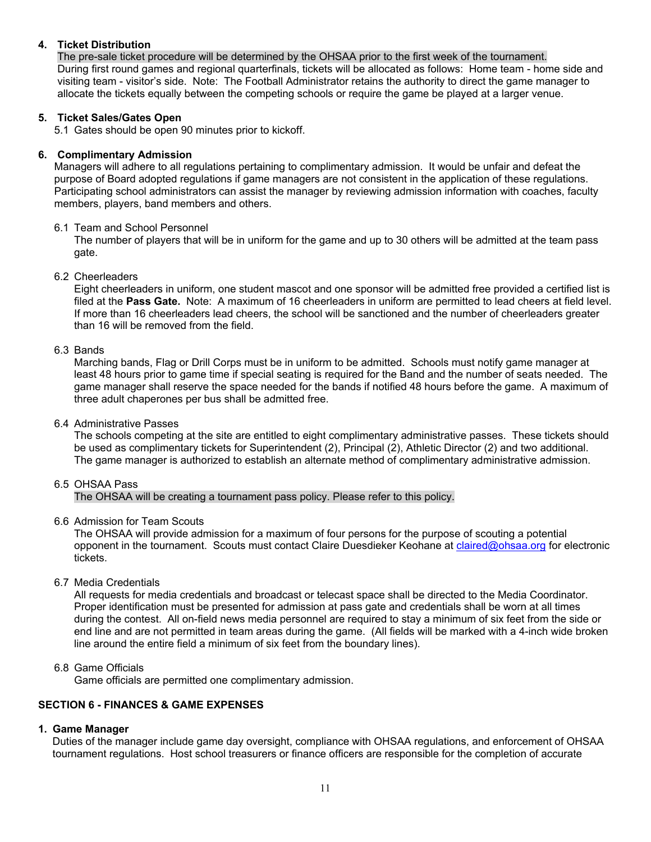# **4. Ticket Distribution**

The pre-sale ticket procedure will be determined by the OHSAA prior to the first week of the tournament. During first round games and regional quarterfinals, tickets will be allocated as follows: Home team - home side and visiting team - visitor's side. Note: The Football Administrator retains the authority to direct the game manager to allocate the tickets equally between the competing schools or require the game be played at a larger venue.

#### **5. Ticket Sales/Gates Open**

5.1 Gates should be open 90 minutes prior to kickoff.

### **6. Complimentary Admission**

Managers will adhere to all regulations pertaining to complimentary admission. It would be unfair and defeat the purpose of Board adopted regulations if game managers are not consistent in the application of these regulations. Participating school administrators can assist the manager by reviewing admission information with coaches, faculty members, players, band members and others.

### 6.1 Team and School Personnel

The number of players that will be in uniform for the game and up to 30 others will be admitted at the team pass gate.

### 6.2 Cheerleaders

Eight cheerleaders in uniform, one student mascot and one sponsor will be admitted free provided a certified list is filed at the **Pass Gate.** Note: A maximum of 16 cheerleaders in uniform are permitted to lead cheers at field level. If more than 16 cheerleaders lead cheers, the school will be sanctioned and the number of cheerleaders greater than 16 will be removed from the field.

### 6.3 Bands

Marching bands, Flag or Drill Corps must be in uniform to be admitted. Schools must notify game manager at least 48 hours prior to game time if special seating is required for the Band and the number of seats needed. The game manager shall reserve the space needed for the bands if notified 48 hours before the game. A maximum of three adult chaperones per bus shall be admitted free.

#### 6.4 Administrative Passes

The schools competing at the site are entitled to eight complimentary administrative passes. These tickets should be used as complimentary tickets for Superintendent (2), Principal (2), Athletic Director (2) and two additional. The game manager is authorized to establish an alternate method of complimentary administrative admission.

#### 6.5 OHSAA Pass

The OHSAA will be creating a tournament pass policy. Please refer to this policy.

#### 6.6 Admission for Team Scouts

The OHSAA will provide admission for a maximum of four persons for the purpose of scouting a potential opponent in the tournament. Scouts must contact Claire Duesdieker Keohane at claired@ohsaa.org for electronic tickets.

# 6.7 Media Credentials

All requests for media credentials and broadcast or telecast space shall be directed to the Media Coordinator. Proper identification must be presented for admission at pass gate and credentials shall be worn at all times during the contest. All on-field news media personnel are required to stay a minimum of six feet from the side or end line and are not permitted in team areas during the game. (All fields will be marked with a 4-inch wide broken line around the entire field a minimum of six feet from the boundary lines).

# 6.8 Game Officials

Game officials are permitted one complimentary admission.

# **SECTION 6 - FINANCES & GAME EXPENSES**

#### **1. Game Manager**

Duties of the manager include game day oversight, compliance with OHSAA regulations, and enforcement of OHSAA tournament regulations. Host school treasurers or finance officers are responsible for the completion of accurate